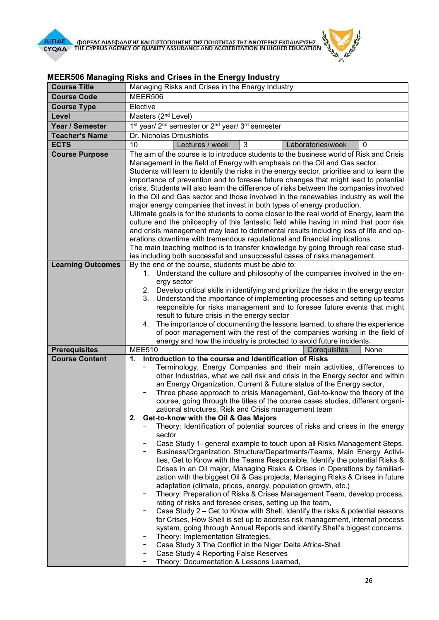

| <b>Course Title</b>      | Managing Risks and Crises in the Energy Industry                                                                                                                               |
|--------------------------|--------------------------------------------------------------------------------------------------------------------------------------------------------------------------------|
| <b>Course Code</b>       | MEER506                                                                                                                                                                        |
| <b>Course Type</b>       | Elective                                                                                                                                                                       |
| Level                    | Masters (2 <sup>nd</sup> Level)                                                                                                                                                |
| Year / Semester          | 1 <sup>st</sup> year/ 2 <sup>nd</sup> semester or 2 <sup>nd</sup> year/ 3 <sup>rd</sup> semester                                                                               |
| <b>Teacher's Name</b>    | Dr. Nicholas Droushiotis                                                                                                                                                       |
| <b>ECTS</b>              | 3<br>10<br>Lectures / week<br>Laboratories/week<br>0                                                                                                                           |
| <b>Course Purpose</b>    | The aim of the course is to introduce students to the business world of Risk and Crisis                                                                                        |
|                          | Management in the field of Energy with emphasis on the Oil and Gas sector.                                                                                                     |
|                          | Students will learn to identify the risks in the energy sector, prioritise and to learn the                                                                                    |
|                          | importance of prevention and to foresee future changes that might lead to potential                                                                                            |
|                          | crisis. Students will also learn the difference of risks between the companies involved                                                                                        |
|                          | in the Oil and Gas sector and those involved in the renewables industry as well the                                                                                            |
|                          | major energy companies that invest in both types of energy production.                                                                                                         |
|                          | Ultimate goals is for the students to come closer to the real world of Energy, learn the                                                                                       |
|                          | culture and the philosophy of this fantastic field while having in mind that poor risk<br>and crisis management may lead to detrimental results including loss of life and op- |
|                          | erations downtime with tremendous reputational and financial implications.                                                                                                     |
|                          | The main teaching method is to transfer knowledge by going through real case stud-                                                                                             |
|                          | ies including both successful and unsuccessful cases of risks management.                                                                                                      |
| <b>Learning Outcomes</b> | By the end of the course, students must be able to:                                                                                                                            |
|                          | Understand the culture and philosophy of the companies involved in the en-<br>1.                                                                                               |
|                          | ergy sector                                                                                                                                                                    |
|                          | Develop critical skills in identifying and prioritize the risks in the energy sector<br>2.                                                                                     |
|                          | Understand the importance of implementing processes and setting up teams<br>3.                                                                                                 |
|                          | responsible for risks management and to foresee future events that might                                                                                                       |
|                          | result to future crisis in the energy sector                                                                                                                                   |
|                          | The importance of documenting the lessons learned, to share the experience<br>4.<br>of poor management with the rest of the companies working in the field of                  |
|                          | energy and how the industry is protected to avoid future incidents.                                                                                                            |
| <b>Prerequisites</b>     | <b>MEE510</b><br>Corequisites<br>None                                                                                                                                          |
| <b>Course Content</b>    | Introduction to the course and Identification of Risks<br>1.                                                                                                                   |
|                          | Terminology, Energy Companies and their main activities, differences to                                                                                                        |
|                          | other Industries, what we call risk and crisis in the Energy sector and within                                                                                                 |
|                          | an Energy Organization, Current & Future status of the Energy sector,                                                                                                          |
|                          | Three phase approach to crisis Management, Get-to-know the theory of the                                                                                                       |
|                          | course, going through the titles of the course cases studies, different organi-                                                                                                |
|                          | zational structures, Risk and Crisis management team<br>Get-to-know with the Oil & Gas Majors<br>2.                                                                            |
|                          | Theory: Identification of potential sources of risks and crises in the energy                                                                                                  |
|                          | sector                                                                                                                                                                         |
|                          | Case Study 1- general example to touch upon all Risks Management Steps.                                                                                                        |
|                          | Business/Organization Structure/Departments/Teams, Main Energy Activi-                                                                                                         |
|                          | ties, Get to Know with the Teams Responsible, Identify the potential Risks &                                                                                                   |
|                          | Crises in an Oil major, Managing Risks & Crises in Operations by familiari-                                                                                                    |
|                          | zation with the biggest Oil & Gas projects, Managing Risks & Crises in future                                                                                                  |
|                          | adaptation (climate, prices, energy, population growth, etc.)                                                                                                                  |
|                          | Theory: Preparation of Risks & Crises Management Team, develop process,<br>rating of risks and foresee crises, setting up the team,                                            |
|                          | Case Study 2 – Get to Know with Shell, Identify the risks & potential reasons                                                                                                  |
|                          | for Crises, How Shell is set up to address risk management, internal process                                                                                                   |
|                          | system, going through Annual Reports and identify Shell's biggest concerns.                                                                                                    |
|                          | Theory: Implementation Strategies,                                                                                                                                             |
|                          | Case Study 3 The Conflict in the Niger Delta Africa-Shell                                                                                                                      |
|                          | Case Study 4 Reporting False Reserves                                                                                                                                          |
|                          | Theory: Documentation & Lessons Learned,<br>-                                                                                                                                  |

## MEER506 Managing Risks and Crises in the Energy Industry

一